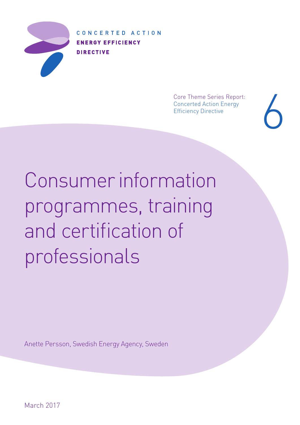

CONCERTED ACTION **ENERGY EFFICIENCY DIRECTIVE** 

> Core Theme Series Report: Concerted Action Energy Core Theme Series Report:<br>Concerted Action Energy<br>Efficiency Directive<br>And Series

Consumer information programmes, training and certification of professionals

Anette Persson, Swedish Energy Agency, Sweden

March 2017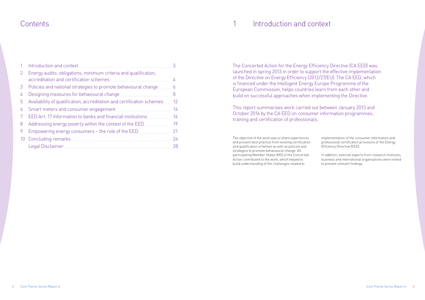# Contents 1 Introduction and context

The objective of the work was to share experiences and present best practice from existing certification and qualification schemes as well as policies and strategies to promote behavioural change. All participating Member States (MS) of the Concerted Action contributed to the work, which helped to build understanding of the challenges related to

implementation of the consumer information and professional certification provisions of the Energy Efficiency Directive (EED).

In addition, external experts from research institutes, business and international organisations were invited to present relevant findings.

The Concerted Action for the Energy Efficiency Directive (CA EED) was launched in spring 2013 in order to support the effective implementation of the Directive on Energy Efficiency (2012/27/EU). The CA EED, which is financed under the Intelligent Energy Europe Programme of the European Commission, helps countries learn from each other and build on successful approaches when implementing the Directive.

This report summarises work carried out between January 2013 and October 2016 by the CA EED on consumer information programmes, training and certification of professionals.

|    | Introduction and context                                                |    |
|----|-------------------------------------------------------------------------|----|
| 2  | Energy audits: obligations, minimum criteria and qualification,         |    |
|    |                                                                         | 4  |
| 3  | Policies and national strategies to promote behavioural change          | 6  |
| 4  | Designing measures for behavioural change                               | 8  |
| 5  | Availability of qualification, accreditation and certification schemes. | 12 |
| 6  |                                                                         | 14 |
|    | EED Art. 17 Information to banks and financial institutions             | 16 |
| 8  | Addressing energy poverty within the context of the EED                 | 19 |
| 9  | Empowering energy consumers - the role of the EED                       | 21 |
| 10 |                                                                         | 24 |
|    |                                                                         | 28 |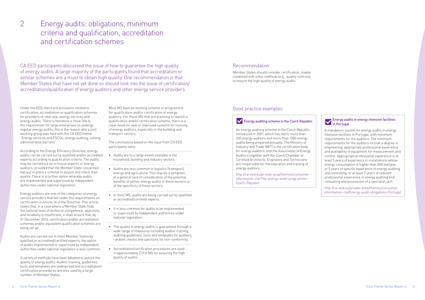Under the EED, there are provisions related to certification, accreditation or qualification schemes for providers of, inter alia, energy services and energy audits. There is therefore a close link to the requirement for large enterprises to undergo regular energy audits; this is the reason why a joint working group was held with the CA EED theme "Energy services and ESCOs, energy auditing, solving administrative barriers".

According to the Energy Efficiency Directive, energy audits can be carried out by qualified and/or accredited experts according to qualification criteria. The audits may be carried out by in-house experts or energy auditors, provided that the Member State concerned has put in place a scheme to assure and check their quality. There is a further option whereby audits are implemented and supervised by independent authorities under national legislation.

Energy auditors are one of the categories of energy service providers that fall under the requirements on certification in Article 16 of the Directive. This article states that, in a case where a Member State finds the national level of technical competence, objectivity and reliability is insufficient, it shall ensure that, by 31 December 2014, certification and/or accreditation schemes and/or equivalent qualification schemes are being set up.

Audits are carried out in most Member States by qualified or accredited/certified experts; the option of audits implemented or supervised by independent authorities under national legislation is less common.

A variety of methods have been adopted to assure the quality of energy audits. Auditor training, guidelines, tools and templates are widespread and accreditation/ certification procedures are also used by a large number of Member States.

Most MS have an existing scheme or programme for qualification and/or certification of energy auditors. For those MS that are planning to launch a qualification and/or certification scheme, there is a clear need for new or improved systems for training of energy auditors, especially in the building and transport sectors.

The conclusions based on the input from CA EED participants were:

### Energy audits in energy intensive facilities **V** Energy audi<br>in Portugal

• Audits are to a large extent available in the household, building and industry sectors.

- 
- Audits are less common in logistics (transport), energy and agriculture. This may be a symptom of a general lack of consideration of the potential benefits of ad hoc energy audits in these sectors or of the specificity of these sectors.
- In most MS, audits are being carried out by qualified or accredited/certified experts.
- It is less common for audits to be implemented or supervised by independent authorities under national legislation.

• The quality of energy audits is guaranteed through a wide range of measures including auditor training, auditing guidelines, tools and templates for auditors, random checks and sanctions for non-conformity.

• Accreditation/certification procedures are used in approximately 2/3 of MS for assuring the high quality of audits.

# 2 Energy audits: obligations, minimum criteria and qualification, accreditation and certification schemes

CA EED participants discussed the issue of how to guarantee the high quality of energy audits. A large majority of the participants found that accreditation or similar schemes are a must to obtain high quality. One recommendation is that Member States that have not yet done so should look into the issue of certification/ accreditation/qualification of energy auditors and other energy service providers.

### Good practice examples

### **Energy auditing scheme in the Czech Republic**

An energy auditing scheme in the Czech Republic, introduced in 2001, which has led to more than 350 energy auditors and more than 1500 energy audits being prepared annually. The Ministry of Industry and Trade (MIT) is the certification body for energy auditors, and the Association of Energy Auditors together with the Czech Chamber of Certified Architects, Engineers and Technicians are responsible for the education and training of energy auditors.

http://ca-eed.eu/private-area/themes/consumerinformation-ct6/The-energy-audit-programme-Czech-Republic



### Recommendation

Member States should consider certification, maybe combined with other methods (e.g., quality controls), to ensure the high quality of energy audits.

> A mandatory system for energy audits in energy intensive facilities in Portugal, with minimum requirements for the auditors. The minimum requirements for the auditors include a degree in engineering, appropriate professional experience and availability of equipment for measurement and control. Appropriate professional experience is at least 5 years of experience in installations whose energy consumption is higher than 500 toe/year, or 3 years of specific experience in energy auditing and consulting, or at least 2 years of relevant professional experience in energy auditing and consulting and possession of a specialist skill.

> http://ca-eed.eu/private-area/themes/consumerinformation-ct6/Energy-audit-obligations-Portugal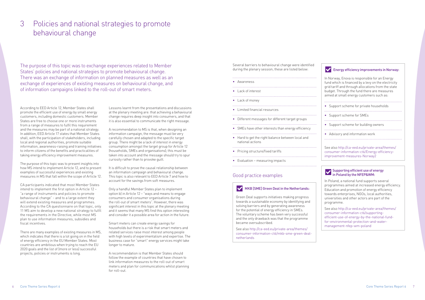According to EED Article 12, Member States shall promote the efficient use of energy by small energy customers, including domestic customers. Member States are free to choose one or more instruments from a range of measures to fulfil this requirement and the measures may be part of a national strategy. In addition, EED Article 17 states that Member States shall, with the participation of stakeholders, including local and regional authorities, promote suitable information, awareness-raising and training initiatives to inform citizens of the benefits and practicalities of taking energy efficiency improvement measures.

The purpose of this topic was to present insights into how MS intend to implement Article 12, and to present examples of successful experiences and existing measures in MS that fall within the scope of Article 12.

CA participants indicated that most Member States intend to implement the first option in Article 12 – "a range of instruments and policies to promote behavioural change" - and to a large extent they will extend existing measures and programmes. According to the CA questionnaire on that topic, only 11 MS aim to develop a new national strategy to fulfil the requirements in the Directive, while most MS plan to use information measures, subsidies and fiscal incentives.

There are many examples of existing measures in MS, which indicates that there is a lot going on in the field of energy efficiency in the EU Member States. Most countries are ambitious when trying to reach the EU 2020 goals and the list of (more or less) successful projects, policies or instruments is long.

Lessons learnt from the presentations and discussions at the plenary meeting are: that achieving a behavioural change requires deep insight into consumers, and that it is also essential to communicate the right message.

A recommendation to MS is that, when designing an information campaign, the message must be very carefully chosen and adapted to the specific target group. There might be a lack of interest in energy consumption amongst the target group for Article 12 (households, SMEs and organisations); this must be taken into account and the message should try to spur curiosity rather than to provoke guilt.

It is difficult to prove the causal relationship between an information campaign and behavioural change. This topic is also relevant to EED Article 7 and how to account for the savings from soft measures.

Only a handful Member States plan to implement option b) in Article 12 – "ways and means to engage consumers and consumer organisations during the roll-out of smart meters". However, there was significant interest in this topic at the plenary meeting and it seems that many MS find this option interesting and consider it a possible area for action in the future.

Smart meters can create energy savings for households but there is a risk that smart meters and related services raise most interest among people with high levels of experimentalism and expertise. The business case for "smart" energy services might take longer to mature.

A recommendation is that Member States should follow the example of countries that have chosen to link information measures to the roll-out of smart meters and plan for communications whilst planning for roll-out.

# 3 Policies and national strategies to promote behavioural change

The purpose of this topic was to exchange experiences related to Member States' policies and national strategies to promote behavioural change. There was an exchange of information on planned measures as well as an exchange of experiences of existing measures on behavioural change, and of information campaigns linked to the roll-out of smart meters.

Several barriers to behavioural change were identified during the plenary session; these are listed below:

### • Awareness • Lack of interest • Lack of money • Limited financial resources • Different messages for different target groups • SMEs have other interests than energy efficiency • Hard to get the right balance between local and national actions • Pricing structure/fixed tariffs • Evaluation – measuring impacts

### Good practice examples

### MKB [SME] Green Deal in the Netherlands:

Green Deal supports initiatives making progress towards a sustainable economy by identifying and solving barriers and by generating awareness for the potential of energy efficiency in SMEs. The voluntary scheme has been very successful and the only drawback was that the programme became oversubscribed.

See also [http://ca-eed.eu/private-area/themes/](http://ca-eed.eu/private-area/themes/consumer-information-ct6/mkb-sme-green-deal-netherlands) [consumer-information-ct6/mkb-sme-green-deal](http://ca-eed.eu/private-area/themes/consumer-information-ct6/mkb-sme-green-deal-netherlands)[netherlands](http://ca-eed.eu/private-area/themes/consumer-information-ct6/mkb-sme-green-deal-netherlands)

## **Energy efficiency improvements in Norway:**

In Norway, Enova is responsible for an Energy fund which is financed by a levy on the electricity grid tariff and through allocations from the state budget. Through the fund there are measures aimed at small energy customers such as:

- 
- Support scheme for private households
- Support scheme for SMEs
- 
- Support scheme for building owners
- 
- Advisory and information work

See also [http://ca-eed.eu/private-area/themes/](http://ca-eed.eu/private-area/themes/consumer-information-ct6/Energy-efficiency-improvement-measures-Norway2) [consumer-information-ct6/Energy-efficiency](http://ca-eed.eu/private-area/themes/consumer-information-ct6/Energy-efficiency-improvement-measures-Norway2)[improvement-measures-Norway2](http://ca-eed.eu/private-area/themes/consumer-information-ct6/Energy-efficiency-improvement-measures-Norway2)

#### Supporting efficient use of energy in Poland by the NFEP&WM:

In Poland, a national fund supports several programmes aimed at increased energy efficiency. Education and promotion of energy efficiency towards enterprises, NGOs, local authorities, universities and other actors are part of the programme.

```
See also http://ca-eed.eu/private-area/themes/
consumer-information-ct6/supporting-
efficient-use-of-energy-by-the-national-fund-
for-environmental-protection-and-water-
management-nfep-wm-poland
```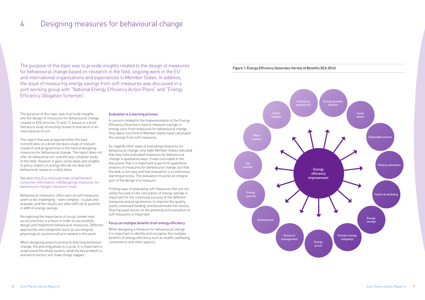The purpose of this topic was to provide insights into the design of measures for behavioural change related to EED Articles 12 and 17, based on a brief literature study of existing research and work in an international forum.

The report that was prepared within the topic concentrates on a brief literature study of relevant research and programmes in the field of designing measures for behavioural change. The report does not offer an exhaustive nor scientifically complete study of the field. However, it gives some ideas and insights to policy makers in energy who do not deal with behavioural issues on a daily basis.

#### See also [http://ca-eed.eu/private-area/themes/](http://ca-eed.eu/private-area/themes/consumer-information-ct6/Designing-measures-for-behavioural-change-Literature-study) [consumer-information-ct6/Designing-measures-for](http://ca-eed.eu/private-area/themes/consumer-information-ct6/Designing-measures-for-behavioural-change-Literature-study)[behavioural-change-Literature-study](http://ca-eed.eu/private-area/themes/consumer-information-ct6/Designing-measures-for-behavioural-change-Literature-study)

Behavioural measures, often seen as soft measures, seem to be challenging - even complex - to plan and evaluate, and the results are often difficult to quantify in kWh of energy savings.

Recognising the importance of social context and social practices is a must in order to successfully design and implement behavioural measures. Different approaches and viewpoints (such as sociological, physiological, economical) are needed in this work.

When designing projects primarily affecting behaviour change, the planning phase is crucial. It is important to understand the whole system, what the key problem is and which factors will make things happen.

#### Evaluation is a learning process

A concern related to the implementation of the Energy Efficiency Directive is how to measure savings in energy units from measures for behavioural change. Only about one third of Member States have calculated the savings from soft measures.

As regards other ways of evaluating measures for behavioural change, only eight Member States indicated that they have evaluated measures for behavioural change in qualitative ways. It was concluded in the discussion that it is important to perform qualitative analysis of measures for behavioural change, but that the task is not easy and that evaluation is a continuous learning process. The evaluation must be an integral part of the design of a measure.

Finding ways of evaluating soft measures that are not solely focused on the calculation of energy savings is important for the continued success of the different measures and programmes; to improve the quality, justify continued funding, and disseminate the results. Sharing experiences on the planning and evaluation of soft measures is important.

#### Focus on multiple benefits from energy efficiency

When designing a measure for behavioural change it is important to identify and recognise the multiple benefits of energy efficiency such as health, wellbeing, convenience and other aspects

# 4 Designing measures for behavioural change

The purpose of this topic was to provide insights related to the design of measures for behavioural change based on research in the field, ongoing work in the EU and international organisations and experiences in Member States. In addition, the issue of measuring energy savings from soft measures was discussed in a joint working group with "National Energy Efficiency Action Plans" and "Energy Efficiency Obligation Schemes".



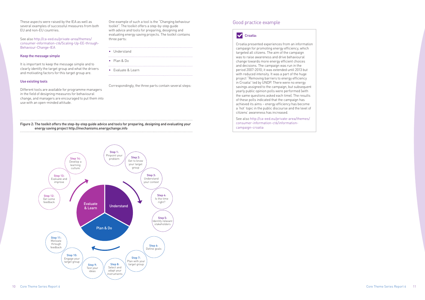These aspects were raised by the IEA as well as several examples of successful measures from both EU and non-EU countries.

See also [http://ca-eed.eu/private-area/themes/](http://ca-eed.eu/private-area/themes/consumer-information-ct6/Scaling-Up-EE-through-Behaviour-Change-IEA) [consumer-information-ct6/Scaling-Up-EE-through-](http://ca-eed.eu/private-area/themes/consumer-information-ct6/Scaling-Up-EE-through-Behaviour-Change-IEA)[Behaviour-Change-IEA](http://ca-eed.eu/private-area/themes/consumer-information-ct6/Scaling-Up-EE-through-Behaviour-Change-IEA)

#### Keep the message simple

It is important to keep the message simple and to clearly identify the target group and what the drivers and motivating factors for this target group are.

#### Use existing tools

Different tools are available for programme managers in the field of designing measures for behavioural change, and managers are encouraged to put them into use with an open-minded attitude.

One example of such a tool is the "Changing behaviour toolkit". The toolkit offers a step-by-step guide with advice and tools for preparing, designing and evaluating energy saving projects. The toolkit contains three parts:

- Understand
- Plan & Do
- Evaluate & Learn

Correspondingly, the three parts contain several steps:

#### Figure 2: The toolkit offers the step-by-step guide advice and tools for preparing, designing and evaluating your energy saving project [http://mechanisms.energychange.info](http://mechanisms.energychange.info/)



### Good practice example

### **Croatia:**

Croatia presented experiences from an information campaign for promoting energy efficiency, which targeted all citizens. The aim of the campaign was to raise awareness and drive behavioural change towards more energy efficient choices and decisions. The campaign was run in the period 2007-2010; it was extended until 2013 but with reduced intensity. It was a part of the huge project "Removing barriers to energy efficiency in Croatia" led by UNDP. There were no energy savings assigned to the campaign, but subsequent yearly public opinion polls were performed (with the same questions asked each time). The results of these polls indicated that the campaign has achieved its aims – energy efficiency has become a 'hot' topic in the public discourse and the level of citizens' awareness has increased.

See also [http://ca-eed.eu/private-area/themes/](http://ca-eed.eu/private-area/themes/consumer-information-ct6/information-campaign-croatia) [consumer-information-ct6/information](http://ca-eed.eu/private-area/themes/consumer-information-ct6/information-campaign-croatia)[campaign-croatia](http://ca-eed.eu/private-area/themes/consumer-information-ct6/information-campaign-croatia)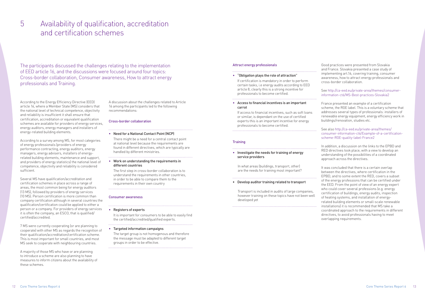# 5 Availability of qualification, accreditation and certification schemes

The participants discussed the challenges relating to the implementation of EED article 16, and the discussions were focused around four topics: Cross-border collaboration, Consumer awareness, How to attract energy professionals and Training.

According to the Energy Efficiency Directive (EED) article 16, where a Member State (MS) considers that the national level of technical competence, objectivity and reliability is insufficient it shall ensure that certification, accreditation or equivalent qualification schemes are available for providers of energy services, energy auditors, energy managers and installers of energy-related building elements.

According to a survey among MS, for most categories of energy professionals (providers of energy performance contracting, energy auditors, energy managers, energy advisers, installers of energyrelated building elements, maintenance and support, and providers of energy statistics) the national level of competence, objectivity and reliability is considered sufficient.

Several MS have qualification/accreditation and certification schemes in place across a range of areas, the most common being for energy auditors (13 MS), followed by providers of energy services (10 MS). Person certification is more common than company certification although in several countries the qualification/certification could be applied to either a person or a company. For providers of energy services it is often the company, an ESCO, that is qualified/ certified/accredited.

If certification is mandatory in order to perform certain tasks, i.e energy audits according to EED article 8, clearly this is a strong incentive for professionals to become certified.

7 MS were currently cooperating (or are planning to cooperate) with other MS as regards the recognition of their qualification/accreditation/certification scheme. This is most important for small countries, and most MS seek to cooperate with neighbouring countries.

A majority of those MS who have or are planning to introduce a scheme are also planning to have measures to inform citizens about the availability of these schemes.

A discussion about the challenges related to Article 16 among the participants led to the following recommendations:

#### Cross-border collaboration

#### • Need for a National Contact Point (NCP)

There might be a need for a central contact point at national level because the requirements are found in different directives, which are typically are handled by different ministries.

#### • Work on understanding the requirements in different countries

The first step in cross-border collaboration is to understand the requirements in other countries, in order to be able to compare them to the requirements in their own country

#### Consumer awareness

• Registers of experts

It is important for consumers to be able to easily find the certified/accredited/qualified experts.

• Targeted information campaigns

The target group is not homogenous and therefore the message must be adapted to different target groups in order to be effective.

#### Attract energy professionals

#### • "Obligation plays the role of attraction"

• Access to financial incentives is an important carrot

If access to financial incentives, such as soft loans or similar, is dependant on the use of certified experts this is an important incentive for energy professionals to become certified.

#### **Training**

### • Investigate the needs for training of energy service providers

 In what areas (buildings, transport, other) are the needs for training most important?

#### • Develop auditor training related to transport

 Transport is included in audits of large companies, however training on these topics have not been well developed yet

Good practices were presented from Slovakia and France. Slovakia presented a case study of implementing art.16, covering training, consumer awareness, how to attract energy professionals and cross-border collaboration.

### See [http://ca-eed.eu/private-area/themes/consumer](http://ca-eed.eu/private-area/themes/consumer-information-ct6/MS-Best-practices-Slovakia2)[information-ct6/MS-Best-practices-Slovakia2](http://ca-eed.eu/private-area/themes/consumer-information-ct6/MS-Best-practices-Slovakia2)

France presented an example of a certification scheme, the RGE label. This is a voluntary scheme that addresses several types of professionals: installers of renewable energy equipment, energy efficiency work in buildings/renovation, studies etc.

#### See also [http://ca-eed.eu/private-area/themes/](http://ca-eed.eu/private-area/themes/consumer-information-ct6/Example-of-a-certification-scheme-RGE-quality-label-France2) [consumer-information-ct6/Example-of-a-certification](http://ca-eed.eu/private-area/themes/consumer-information-ct6/Example-of-a-certification-scheme-RGE-quality-label-France2)[scheme-RGE-quality-label-France2](http://ca-eed.eu/private-area/themes/consumer-information-ct6/Example-of-a-certification-scheme-RGE-quality-label-France2)

In addition, a discussion on the links to the EPBD and RED directives took place, with a view to develop an understanding of the possibilities of a coordinated approach across the directives.

It was concluded that there is a certain overlap between the directives, where certification in the EPBD, and to some extent the RED, covers a subset of the energy professions that can be certified under the EED. From the point of view of an energy expert who could cover several professions (e.g. energy certification of buildings, energy audits, inspection of heating systems, and installation of energyrelated building elements or small-scale renewable installations) it is recommended that MS take a coordinated approach to the requirements in different directives, to avoid professionals having to meet overlapping requirements.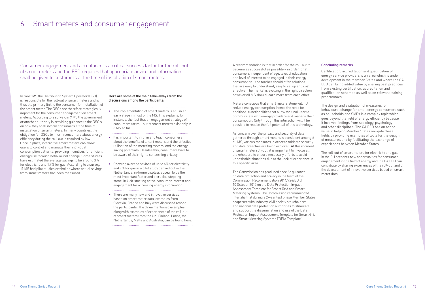# 6 Smart meters and consumer engagement

Consumer engagement and acceptance is a critical success factor for the roll-out of smart meters and the EED requires that appropriate advice and information shall be given to customers at the time of installation of smart meters.

In most MS the Distribution System Operator (DSO) is responsible for the roll-out of smart meters and is thus the primary link to the consumer for installation of the smart meter. The DSOs are therefore strategically important for the consumer engagement on smart meters. According to a survey, in 9 MS the government or another authority is providing guidance to the DSO's on how they shall inform consumers at the time of installation of smart meters. In many countries, the obligation for DSOs to inform consumers about energy efficiency during the roll-out is required by law. Once in place, interactive smart meters can allow users to control and manage their individual consumption patterns, providing incentives for efficient energy use through behavioural change. Some studies have estimated the average savings to be around 3% for electricity and 1.7% for gas. According to a survey, 11 MS had pilot studies or similar where actual savings from smart meters had been measured.

#### Here are some of the main take-aways from the discussions among the participants:

- The implementation of smart meters is still in an early stage in most of the MS. This explains, for instance, the fact that an engagement strategy of consumers for roll-out of smart meters exist only in 6 MS so far.
- It is important to inform and teach consumers about the benefits of smart meters and the effective utilisation of the metering system, and the energy saving potentials. Besides this, consumers have to be aware of their rights concerning privacy.
- Showing average savings of up to 6% for electricity and 7% for gas in a pilot study carried out in the Netherlands, in-home displays appear to be the most important factor and a crucial 'stepping stone' in kick-starting active consumer interest and engagement for accessing energy information.

• There are many new and innovative services based on smart meter data, examples from Slovakia, France and Italy were discussed among the participants. The three mentioned examples, along with examples of experiences of the roll-out of smart meters from the UK, Finland, Latvia, the Netherlands, Malta and Australia, can be found [here.](http://www.ca-eed.eu/good-practices/member-state-presentations/consumer-information/smart-meters-and-consumer-engagement)

A recommendation is that in order for the roll-out to become as successful as possible – in order for all consumers independent of age, level of education and level of interest to be engaged in their energy consumption - the market should offer solutions that are easy to understand, easy to set up and cost effective. The market is evolving in the right direction however all MS should learn more from each other.

MS are conscious that smart meters alone will not reduce energy consumption, hence the need for additional functionalities that allow the final user to communicate with energy providers and manage their consumption. Only through this interaction will it be possible to realise the full potential of this technology.

As concern over the privacy and security of data gathered through smart meters is consistent amongst all MS, various measures in order to mitigate security and data breaches are being explored. At this moment of smart meter roll-out, it is important to involve all stakeholders to ensure necessary efforts to avoid undesirable situations due to the lack of experience in this specific area.

The Commission has produced specific guidance on data protection and privacy in the form of the [Commission Recommendation 2014/724/EU of](http://eur-lex.europa.eu/legal-content/EN/TXT/?uri=uriserv:OJ.L_.2014.300.01.0063.01.ENG)  [10 October 2014 on the Data Protection Impact](http://eur-lex.europa.eu/legal-content/EN/TXT/?uri=uriserv:OJ.L_.2014.300.01.0063.01.ENG)  [Assessment Template for Smart Grid and Smart](http://eur-lex.europa.eu/legal-content/EN/TXT/?uri=uriserv:OJ.L_.2014.300.01.0063.01.ENG)  [Metering Systems](http://eur-lex.europa.eu/legal-content/EN/TXT/?uri=uriserv:OJ.L_.2014.300.01.0063.01.ENG). The Commission recommended inter alia that during a 2-year test phase Member States cooperate with industry, civil society stakeholders and national data protection authorities to stimulate and support the dissemination and use of the [Data](https://ec.europa.eu/energy/sites/ener/files/documents/2014_dpia_smart_grids_forces.pdf)  [Protection Impact Assessment Template for Smart Grid](https://ec.europa.eu/energy/sites/ener/files/documents/2014_dpia_smart_grids_forces.pdf)  [and Smart Metering Systems \('DPIA Template'\)](https://ec.europa.eu/energy/sites/ener/files/documents/2014_dpia_smart_grids_forces.pdf)

#### Concluding remarks

Certification, accreditation and qualification of energy service providers is an area which is under development in the Member States and where the CA EED can bring added value by sharing best practices from existing certification, accreditation and qualification schemes as well as on relevant training programmes.

The design and evaluation of measures for behavioural change for small energy consumers such as households and SMEs is a complex topic which goes beyond the field of energy efficiency because it involves findings from sociology, psychology and other disciplines. The CA EED has an added value in helping Member States navigate these fields by providing examples of tools for the design of measures and by facilitating the exchange of experiences between Member States.

The roll-out of smart meters for electricity and gas in the EU presents new opportunities for consumer engagement in the field of energy and the CA EED can contribute by sharing experiences of the roll-out and of the development of innovative services based on smart meter data.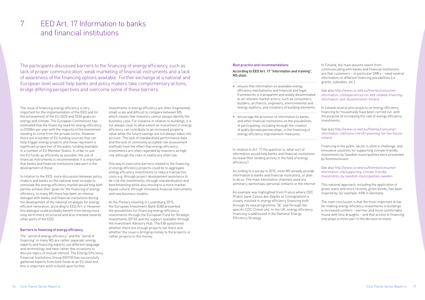# 7 EED Art. 17 Information to banks and financial institutions

The issue of financing energy efficiency is very important for the implementation of the EED and for the achievement of the EU 2020 and 2030 goals on energy and climate. The European Commission has estimated that the financing need for energy efficiency is Đ100bn per year with the majority of the investment needing to come from the private sector. However there are a number of EU funding sources that can help trigger energy projects and these represent a significant proportion of the public funding available in a number of EU Member States. In order to use the EU funds as efficiently as possible, the use of financial instruments is recommended: it is important that banks and financial institutions take part in the development of these.

In relation to the EED, more discussion between policy makers and banks on the national level on ways to stimulate the energy efficiency market would help both parties achieve their goals for the financing of energy efficiency. In many MS there has been an intense dialogue with banks and financial institutions during the development of the national strategies for energy efficient renovation, according to EED Art. 4. However this dialogue could probably benefit from being more long-term more structured and also oriented towards other parts of the EED.

#### Barriers to financing of energy efficiency

The "world of energy efficiency" and the "world of financing" in many MS are rather separate; energy experts and financing experts use different language and terminology and have rather few occasions to discuss topics of mutual interest. The Energy Efficiency Financial Institutions Group (EEFIG) has successfully gathered experts from both fields at an EU level and this is important work to build upon further.

Investments in energy efficiency are often fragmented, small scale and difficult to compare between MS which means that investors cannot always identify the business case. For instance in relation to buildings, it is not always clear to what extent an investment in energy efficiency can contribute to an increased property value while the future savings are not always taken into account. The lack of standardised performance data and the lack of commonly accepted risk assessment methods have the effect that energy efficiency investments are often regarded by investors as high risk although the risks in reality are often low.

One way to overcome barriers related to the financing of energy efficiency projects could be to aggregate energy efficiency investments to reduce transaction costs e.g. through project development assistance to de-risk the investments; through standardisation and benchmarking while also moving to a more marketbased culture; through innovative financial instruments and new business models.

At the Plenary meeting in Luxemburg 2015, the European Investment Bank (EIB) presented the possibilities for financing energy efficiency investments through the European Fund for Strategic Investments (EFSI) and the support available through the Investment Advisory Hub. The EIB questioned whether there are enough projects out there and whether the issue is bringing money to the projects or rather projects to the money.

The participants discussed barriers to the financing of energy efficiency, such as lack of proper communication, weak marketing of financial instruments and a lack of awareness of the financing options available. Further exchange at a national and European level would help banks and policy makers take complimentary actions, bridge differing perspectives and overcome some of these barriers.

#### Best practice and recommendations

#### According to EED Art. 17 "Information and training", MS shall:

• ensure that information on available energy efficiency mechanisms and financial and legal frameworks is transparent and widely disseminated to all relevant market actors, such as consumers, builders, architects, engineers, environmental and energy auditors, and installers of building elements;

• encourage the provision of information to banks and other financial institutions on the possibilities of participating, including through the creation of public/private partnerships, in the financing of energy efficiency improvement measures.

In relation to Art. 17 the question is, what sort of information would help banks and financial institutions increase their lending activity in the field of energy efficiency?

According to a survey in 2015, most MS already provide information to banks and financial institutions, or plan to do so. The main information channels used are seminars, workshops, personal contacts or the internet.

An example was highlighted from France where CDC (Public bank Caisse des Dépôts et Consignation) is closely involved in energy efficiency financing both through its new programme '5E' and through the specific CDC Climat unit. In the UK, energy efficiency financing is addressed in the National Energy Efficiency Strategy.

In Finland, the main lessons learnt from communicating with banks and financial institutions are that customers – in particular SMEs – need neutral information on different financing possibilities (i.e. grants, subsidies, etc.).

See also [http://www.ca-eed.eu/themes/consumer](http://www.ca-eed.eu/themes/consumer-information-ct6/experiences-on-eed-related-financing-information-and-dissemination-finland)[information-ct6/experiences-on-eed-related-financing](http://www.ca-eed.eu/themes/consumer-information-ct6/experiences-on-eed-related-financing-information-and-dissemination-finland)[information-and-dissemination-finland](http://www.ca-eed.eu/themes/consumer-information-ct6/experiences-on-eed-related-financing-information-and-dissemination-finland)

In Ireland several pilot projects on energy efficiency financing for households have been carried out, with the purpose of increasing the rate of energy efficiency investments.

See also [http://www.ca-eed.eu/themes/consumer](http://www.ca-eed.eu/themes/consumer-information-ct6/home-retrofit-planning-for-the-future-ireland)[information-ct6/home-retrofit-planning-for-the-future](http://www.ca-eed.eu/themes/consumer-information-ct6/home-retrofit-planning-for-the-future-ireland)[ireland](http://www.ca-eed.eu/themes/consumer-information-ct6/home-retrofit-planning-for-the-future-ireland)

Financing in the public sector is often a challenge, and innovative solutions for supporting climate-friendly investments by Swedish municipalities were presented by Kommuninvest.

See also [http://www.ca-eed.eu/themes/consumer](http://www.ca-eed.eu/themes/consumer-information-ct6/supporting-climate-friendly-investments-by-swedish-municipalities-sweden)[information-ct6/supporting-climate-friendly](http://www.ca-eed.eu/themes/consumer-information-ct6/supporting-climate-friendly-investments-by-swedish-municipalities-sweden)[investments-by-swedish-municipalities-sweden](http://www.ca-eed.eu/themes/consumer-information-ct6/supporting-climate-friendly-investments-by-swedish-municipalities-sweden)

This national approach, including the application of green loans and more recently green bonds, has been inspired by, for example, KfW in Germany.

The main conclusion is that the most important driver for making energy efficiency investments in buildings is increased comfort – warmer and more comfortable house with less draughts – and that access to financing only plays a minor part in the decision to invest.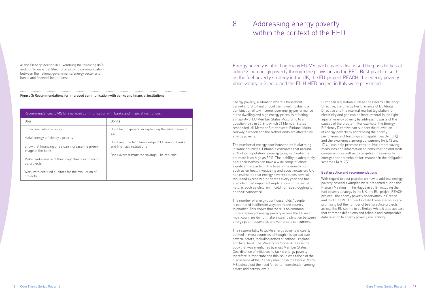At the Plenary Meeting in Luxemburg the following do´s and don'ts were identified for improving communication between the national governments/energy sector and banks and financial institutions:

#### Figure 3: Recommendations for improved communication with banks and financial institutions

| Recommendations to MS for improved communication with banks and financial institutions |                                                                             |
|----------------------------------------------------------------------------------------|-----------------------------------------------------------------------------|
| Do's                                                                                   | Don'ts                                                                      |
| Show concrete examples                                                                 | Don't be too generic in explaining the advantages of<br>EE                  |
| Make energy efficiency a priority                                                      |                                                                             |
| Show that financing of EE can increase the green<br>image of the bank                  | Don't assume high knowledge of EE among banks<br>and financial institutions |
| Make banks aware of their importance in financing<br>EE projects                       | Don't overestimate the savings – be realistic                               |
| Work with certified auditors for the evaluation of<br>projects                         |                                                                             |

# 8 Addressing energy poverty within the context of the EED

Energy poverty, a situation where a household cannot afford to heat or cool their dwelling due to a combination of low income, poor energy performance of the dwelling and high energy prices, is affecting a majority of EU Member States. According to a questionnaire in 2016 to which 26 Member States responded, all Member States except Finland, Malta, Norway, Sweden and the Netherlands are affected by energy poverty.

The number of energy poor households is alarming in some countries. Lithuania estimates that around 20% of its population is energy poor, in Croatia the estimate is as high as 30%. The inability to adequately heat their homes can have a wide range of other significant impacts on the lives of the energy poor such as on health, wellbeing and social inclusion. UK has estimated that energy poverty causes several thousand excess winter deaths every year and has also identified important implications of the social nature, such as children in cold homes struggling to do their homework.

The number of energy poor households / people is estimated in different ways from one country to another. This shows that there is no common understanding of energy poverty across the EU and most countries do not make a clear distinction between energy poor households and vulnerable consumers.

The responsibility to tackle energy poverty is clearly defined in most countries, although it is spread over several actors, including actors at national, regional and local level. The Ministry for Social Affairs is the body that was mentioned by most Member States. Coordination of initiatives to tackle energy poverty therefore is important and this issue was raised at the discussions at the Plenary meeting in the Hague. Many MS pointed out the need for better coordination among actors and across levels.

European legislation such as the Energy Efficiency Directive, the Energy Performance of Buildings Directive and the internal market legislation for electricity and gas can be instrumental in the fight against energy poverty by addressing parts of the causes of the problem. For example, the Energy Efficiency Directive can support the alleviation of energy poverty by addressing the energy performance of buildings and appliances (Art.5(7)) and the awareness among consumers (Art. 12 and 17(4)), can help promote easy-to-implement saving measures and information on consumption and tariff comparison as well as by targeting measures to energy poor households for instance in the obligation schemes (Art. 7(7)).

#### Best practice and recommendations

With regard to best practice on how to address energy poverty, several examples were presented during the Plenary Meeting in The Hague in 2016, including the [fuel poverty strategy in the UK](http://www.ca-eed.eu/themes/consumer-information-ct6/energy-poverty.-understanding-the-problem-uk), the EU-project [REACH](http://www.ca-eed.eu/themes/consumer-information-ct6/pilot-study-of-energy-poverty-reach-croatia)  [project,](http://www.ca-eed.eu/themes/consumer-information-ct6/pilot-study-of-energy-poverty-reach-croatia) , the [energy poverty observatory in Greece](http://www.ca-eed.eu/themes/consumer-information-ct6/observatory-of-energy-poverty-greece) and the [ELIH MED project](http://www.ca-eed.eu/themes/consumer-information-ct6/challenges-facing-energy-poverty-italy) in Italy These examples are promising but the number of best practice projects across the EU seems to be limited while it also appears that common definitions and reliable and comparable data relating to energy poverty are lacking.

Energy poverty is affecting many EU MS: participants discussed the possibilities of addressing energy poverty through the provisions in the EED. Best practice such as the fuel poverty strategy in the UK, the EU-project REACH, the energy poverty observatory in Greece and the ELIH MED project in Italy were presented.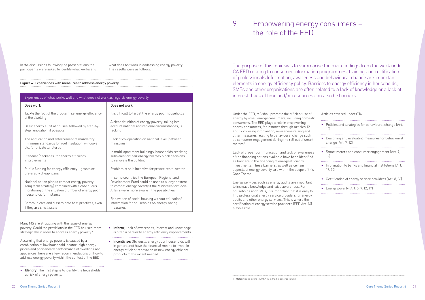In the discussions following the presentations the participants were asked to identify what works and what does not work in addressing energy poverty. The results were as follows:

Many MS are struggling with the issue of energy poverty. Could the provisions in the EED be used more strategically in order to address energy poverty?

• Identify; The first step is to identify the households at risk of energy poverty.

• Inform; Lack of awareness, interest and knowledge is often a barrier to energy efficiency improvements 

• Incentivise; Obviously, energy poor households will in general not have the financial means to invest in energy efficient renovation or new energy efficient products to the extent needed.

Assuming that energy poverty is caused by a combination of low household income, high energy prices and poor energy performance of dwellings and appliances, here are a few recommendations on how to address energy poverty within the context of the EED:

#### Figure 4: Experiences with measures to address energy poverty

| Does work<br>Does not work<br>Tackle the root of the problem, i.e. energy efficiency<br>It is difficult to target the energy poor households<br>of the dwelling<br>A clear definition of energy poverty, taking into<br>account national and regional circumstances, is<br>Basic energy audit of houses, followed by step-by-<br>step renovation, if possible<br>lacking<br>The application and enforcement of mandatory<br>Lack of co-operation on national level (between<br>minimum standards for roof insulation, windows<br>ministries<br>etc. for private landlords<br>In multi-apartment buildings, households receiving<br>subsidies for their energy bill may block decisions<br>Standard 'packages' for energy efficiency<br>to renovate the building<br>improvements<br>Problem of split incentive for private rental sector<br>Public funding for energy efficiency - grants or<br>preferably cheap loans<br>In some countries the European Regional and<br>Development Fund could be used to a larger extent<br>National action plan to combat energy poverty<br>(long term strategy) combined with a continuous<br>to combat energy poverty if the Ministries for Social<br>monitoring of the situation (number of energy poor<br>Affairs were more aware if the possibilities<br>households for instancel<br>Renovation of social housing without education/<br>information for households on energy saving<br>Communicate and disseminate best practices, even<br>if they are small scale<br>measures | Experiences of what works well and what does not work as regards energy poverty |  |  |
|-----------------------------------------------------------------------------------------------------------------------------------------------------------------------------------------------------------------------------------------------------------------------------------------------------------------------------------------------------------------------------------------------------------------------------------------------------------------------------------------------------------------------------------------------------------------------------------------------------------------------------------------------------------------------------------------------------------------------------------------------------------------------------------------------------------------------------------------------------------------------------------------------------------------------------------------------------------------------------------------------------------------------------------------------------------------------------------------------------------------------------------------------------------------------------------------------------------------------------------------------------------------------------------------------------------------------------------------------------------------------------------------------------------------------------------------------------------------------------------------------------------------------|---------------------------------------------------------------------------------|--|--|
|                                                                                                                                                                                                                                                                                                                                                                                                                                                                                                                                                                                                                                                                                                                                                                                                                                                                                                                                                                                                                                                                                                                                                                                                                                                                                                                                                                                                                                                                                                                       |                                                                                 |  |  |
|                                                                                                                                                                                                                                                                                                                                                                                                                                                                                                                                                                                                                                                                                                                                                                                                                                                                                                                                                                                                                                                                                                                                                                                                                                                                                                                                                                                                                                                                                                                       |                                                                                 |  |  |
|                                                                                                                                                                                                                                                                                                                                                                                                                                                                                                                                                                                                                                                                                                                                                                                                                                                                                                                                                                                                                                                                                                                                                                                                                                                                                                                                                                                                                                                                                                                       |                                                                                 |  |  |
|                                                                                                                                                                                                                                                                                                                                                                                                                                                                                                                                                                                                                                                                                                                                                                                                                                                                                                                                                                                                                                                                                                                                                                                                                                                                                                                                                                                                                                                                                                                       |                                                                                 |  |  |
|                                                                                                                                                                                                                                                                                                                                                                                                                                                                                                                                                                                                                                                                                                                                                                                                                                                                                                                                                                                                                                                                                                                                                                                                                                                                                                                                                                                                                                                                                                                       |                                                                                 |  |  |
|                                                                                                                                                                                                                                                                                                                                                                                                                                                                                                                                                                                                                                                                                                                                                                                                                                                                                                                                                                                                                                                                                                                                                                                                                                                                                                                                                                                                                                                                                                                       |                                                                                 |  |  |
|                                                                                                                                                                                                                                                                                                                                                                                                                                                                                                                                                                                                                                                                                                                                                                                                                                                                                                                                                                                                                                                                                                                                                                                                                                                                                                                                                                                                                                                                                                                       |                                                                                 |  |  |
|                                                                                                                                                                                                                                                                                                                                                                                                                                                                                                                                                                                                                                                                                                                                                                                                                                                                                                                                                                                                                                                                                                                                                                                                                                                                                                                                                                                                                                                                                                                       |                                                                                 |  |  |

# 9 Empowering energy consumers – the role of the EED

Under the EED, MS shall promote the efficient use of energy by small energy consumers, including domestic consumers. The EED plays a role in empowering energy consumers, for instance through Articles 12 and 17 covering information, awareness raising and other measures relating to behavioural change such as consumer engagement during the roll out of smart meters.1

Lack of proper communication and lack of awareness of the financing options available have been identified as barriers to the financing of energy efficiency investments. These barriers, as well as certain aspects of energy poverty, are within the scope of this Core Theme.

Energy services such as energy audits are important to increase knowledge and raise awareness. For households and SMEs, it is important that it is easy to find professional energy service providers for energy audits and other energy services. This is where the certification of energy service providers (EED Art. 16) plays a role.

| Articles covered under CT6:                                                           |
|---------------------------------------------------------------------------------------|
| • Policies and strategies for behavioural change (Art.<br>121                         |
| Designing and evaluating measures for behavioural<br>$\bullet$<br>change (Art. 7, 12) |
| • Smart meters and consumer engagement (Art. 9,<br>12 <sup>1</sup>                    |
| • Information to banks and financial institutions (Art.<br>17, 20                     |
| Certification of energy service providers (Art. 8, 16)                                |
| Energy poverty (Art. 5, 7, 12, 17)                                                    |
|                                                                                       |

The purpose of this topic was to summarise the main findings from the work under CA EED relating to consumer information programmes, training and certification of professionals Information, awareness and behavioural change are important elements in energy efficiency policy. Barriers to energy efficiency in households, SMEs and other organisations are often related to a lack of knowledge or a lack of interest. Lack of time and/or resources can also be barriers.

1 Metering and billing in Art.9-12 is mainly covered in CT3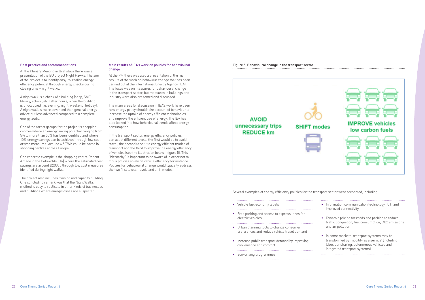#### Best practice and recommendations

At the Plenary Meeting in Bratislava there was a presentation of the EU project [Night Hawks.](http://www.night-hawks.eu) The aim of the project is to identify easy-to-realise energy efficiency potential through energy checks during closing time – night walks.

A night walk is a check of a building (shop, SME, library, school, etc.) after hours, when the building is unoccupied (i.e. evening, night, weekend, holiday). A night walk is more advanced than general energy advice but less advanced compared to a complete energy audit.

One of the target groups for the project is shopping centres where an energy saving potential ranging from 5% to more than 50% has been identified and where 10% energy savings can be achieved through low cost or free measures. Around 4.5 TWh could be saved in shopping centres across Europe.

One concrete example is the shopping centre Regent Arcade in the Cotswolds (UK) where the estimated cost savings are around Đ20000 through low cost measures identified during night walks.

The project also includes training and capacity building. One concluding remark was that the Night Walks method is easy to replicate in other kinds of businesses and buildings where energy losses are suspected.

#### Main results of IEA's work on policies for behavioural change

At the PM there was also a presentation of the main results of the work on behaviour change that has been carried out at the International Energy Agency (IEA). The focus was on measures for behavioural change in the transport sector, but measures in buildings and industry were also presented and discussed.

The main areas for discussion in IEA's work have been how energy policy should take account of behaviour to increase the uptake of energy efficient technologies and improve the efficient use of energy. The IEA has also looked into how behavioural trends affect energy consumption.

In the transport sector, energy efficiency policies can act at different levels: the first would be to avoid travel, the second to shift to energy efficient modes of transport and the third to improve the energy efficiency of vehicles (see the illustration below – figure 5). This "hierarchy" is important to be aware of in order not to focus policies solely on vehicle efficiency for instance. Policies for behavioural change would typically address the two first levels – avoid and shift modes.

Figure 5: Behavioural change in the transport sector

### **AVOID** unnecessary trips **REDUCE km**

Several examples of energy efficiency policies for the transport sector were presented, including:

- Vehicle fuel economy labels
- Free parking and access to express lanes for electric vehicles

- Urban planning tools to change consumer preferences and reduce vehicle travel demand
- Increase public transport demand by improving convenience and comfort

• Eco-driving programmes



| Information communication technology (ICT) and<br>improved connectivity                                                                                                          |
|----------------------------------------------------------------------------------------------------------------------------------------------------------------------------------|
| Dynamic pricing for roads and parking to reduce<br>traffic congestion, fuel consumption, CO2 emissions<br>and air pollution                                                      |
| • In some markets, transport systems may be<br>transformed by 'mobility as a service' (including<br>Uber, car sharing, autonomous vehicles and<br>integrated transport systems). |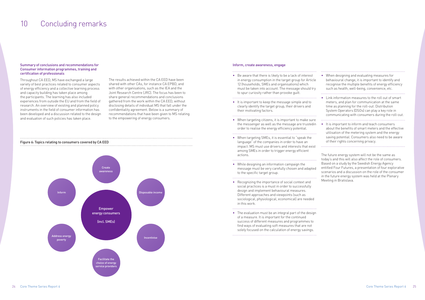#### Summary of conclusions and recommendations for Consumer information programmes, training and certification of professionals

Throughout CA EED, MS have exchanged a large variety of best practices related to consumer aspects of energy efficiency and a collective learning process and capacity building has taken place among the participants. The learning has also included experiences from outside the EU and from the field of research. An overview of existing and planned policy instruments in the field of consumer information has been developed and a discussion related to the design and evaluation of such policies has taken place.

The results achieved within the CA EED have been shared with other CAs, for instance CA EPBD, and with other organisations, such as the IEA and the Joint Research Centre (JRC). The focus has been to share general recommendations and conclusions gathered from the work within the CA EED, without disclosing details of individual MS that fall under the confidentiality agreement. Below is a summary of recommendations that have been given to MS relating to the empowering of energy consumers.



# 10 Concluding remarks

#### Inform, create awareness, engage

• Be aware that there is likely to be a lack of interest in energy consumption in the target group for Article 12 (households, SMEs and organisations) which must be taken into account. The message should try to spur curiosity rather than provoke guilt.

- It is important to keep the message simple and to clearly identify the target group, their drivers and their motivating factors.
- When targeting citizens, it is important to make sure the messenger as well as the message are trustedin order to realise the energy efficiency potential.

- When targeting SMEs, it is essential to "speak the language" of the companies in order to have an impact. MS must use drivers and interests that exist among SMEs in order to trigger energy efficient actions.
- While designing an information campaign the message must be very carefully chosen and adapted to the specific target group.

- Recognizing the importance of social context and social practices is a must in order to successfully design and implement behavioural measures. Different approaches and viewpoints (such as sociological, physiological, economical) are needed in this work.
- The evaluation must be an integral part of the design of a measure. It is important for the continued success of different measures and programmes to find ways of evaluating soft measures that are not solely focused on the calculation of energy savings.

| When designing and evaluating measures for<br>behavioural change, it is important to identify and<br>recognise the multiple benefits of energy efficiency<br>such as health, well-being, convenience, etc.                                                     |
|----------------------------------------------------------------------------------------------------------------------------------------------------------------------------------------------------------------------------------------------------------------|
| Link information measures to the roll out of smart<br>meters, and plan for communication at the same<br>time as planning for the roll-out. Distribution<br>System Operators (DSOs) can play a key role in<br>communicating with consumers during the roll-out. |
| It is important to inform and teach consumers<br>about the benefits of smart meters and the effective<br>utilisation of the metering system and the energy<br>saving potential. Consumers also need to be aware<br>of their rights concerning privacy.         |

The future energy system will not be the same as today's and this will also affect the role of consumers. Based on a study by the Swedish Energy Agency entitled Four Futures, a presentation of four explorative scenarios and a discussion on the role of the consumer in the future energy system was held at the Plenary Meeting in Bratislava.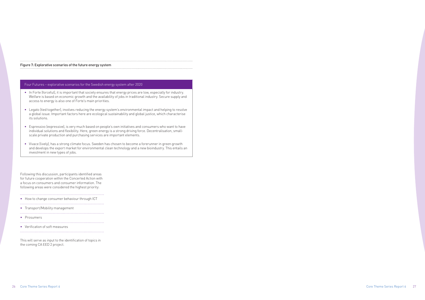26 Core Theme Series Report 6 Core Theme Series Report 6 27

### Figure 7: Explorative scenarios of the future energy system

#### Four Futures – explorative scenarios for the Swedish energy system after 2020

• In Forte (forceful), it is important that society ensures that energy prices are low, especially for industry. Welfare is based on economic growth and the availability of jobs in traditional industry. Secure supply and access to energy is also one of Forte's main priorities.

- Legato (tied together), involves reducing the energy system's environmental impact and helping to resolve a global issue. Important factors here are ecological sustainability and global justice, which characterise its solutions.
- Espressivo (expressive), is very much based on people's own initiatives and consumers who want to have individual solutions and flexibility. Here, green energy is a strong driving force. Decentralisation, smallscale private production and purchasing services are important elements.
- Vivace (lively), has a strong climate focus. Sweden has chosen to become a forerunner in green growth and develops the export market for environmental clean technology and a new bioindustry. This entails an investment in new types of jobs.

Following this discussion, participants identified areas for future cooperation within the Concerted Action with a focus on consumers and consumer information. The following areas were considered the highest priority:

• How to change consumer behaviour through ICT

- Transport/Mobility management
- Prosumers
- Verification of soft measures

This will serve as input to the identification of topics in the coming CA EED 2 project.